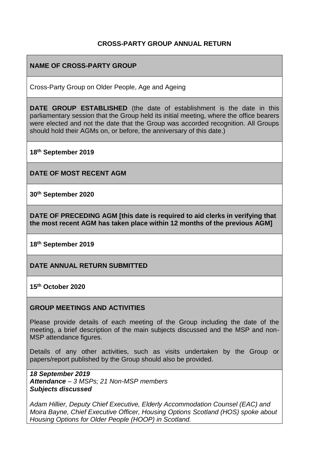### **CROSS-PARTY GROUP ANNUAL RETURN**

## **NAME OF CROSS-PARTY GROUP**

Cross-Party Group on Older People, Age and Ageing

**DATE GROUP ESTABLISHED** (the date of establishment is the date in this parliamentary session that the Group held its initial meeting, where the office bearers were elected and not the date that the Group was accorded recognition. All Groups should hold their AGMs on, or before, the anniversary of this date.)

**18th September 2019**

**DATE OF MOST RECENT AGM**

**30th September 2020**

**DATE OF PRECEDING AGM [this date is required to aid clerks in verifying that the most recent AGM has taken place within 12 months of the previous AGM]**

**18th September 2019**

**DATE ANNUAL RETURN SUBMITTED**

**15th October 2020**

#### **GROUP MEETINGS AND ACTIVITIES**

Please provide details of each meeting of the Group including the date of the meeting, a brief description of the main subjects discussed and the MSP and non-MSP attendance figures.

Details of any other activities, such as visits undertaken by the Group or papers/report published by the Group should also be provided.

*18 September 2019 Attendance – 3 MSPs; 21 Non-MSP members Subjects discussed*

*Adam Hillier, Deputy Chief Executive, Elderly Accommodation Counsel (EAC) and Moira Bayne, Chief Executive Officer, Housing Options Scotland (HOS) spoke about Housing Options for Older People (HOOP) in Scotland.*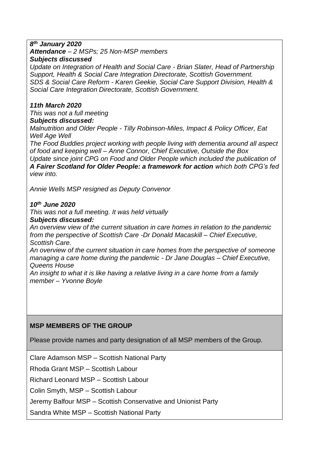#### *8 th January 2020*

*Attendance – 2 MSPs; 25 Non-MSP members* 

#### *Subjects discussed*

*Update on Integration of Health and Social Care - Brian Slater, Head of Partnership Support, Health & Social Care Integration Directorate, Scottish Government. SDS & Social Care Reform - Karen Geekie, Social Care Support Division, Health & Social Care Integration Directorate, Scottish Government.*

### *11th March 2020*

*This was not a full meeting Subjects discussed:*

*Malnutrition and Older People - Tilly Robinson-Miles, Impact & Policy Officer, Eat Well Age Well*

*The Food Buddies project working with people living with dementia around all aspect of food and keeping well – Anne Connor, Chief Executive, Outside the Box Update since joint CPG on Food and Older People which included the publication of A Fairer Scotland for Older People: a framework for action which both CPG's fed view into.*

*Annie Wells MSP resigned as Deputy Convenor*

#### *10 th June 2020*

*This was not a full meeting. It was held virtually Subjects discussed:*

*An overview view of the current situation in care homes in relation to the pandemic from the perspective of Scottish Care -Dr Donald Macaskill – Chief Executive, Scottish Care.*

*An overview of the current situation in care homes from the perspective of someone managing a care home during the pandemic - Dr Jane Douglas – Chief Executive, Queens House*

*An insight to what it is like having a relative living in a care home from a family member – Yvonne Boyle*

#### **MSP MEMBERS OF THE GROUP**

Please provide names and party designation of all MSP members of the Group.

Clare Adamson MSP – Scottish National Party

Rhoda Grant MSP – Scottish Labour

Richard Leonard MSP – Scottish Labour

Colin Smyth, MSP – Scottish Labour

Jeremy Balfour MSP – Scottish Conservative and Unionist Party

Sandra White MSP – Scottish National Party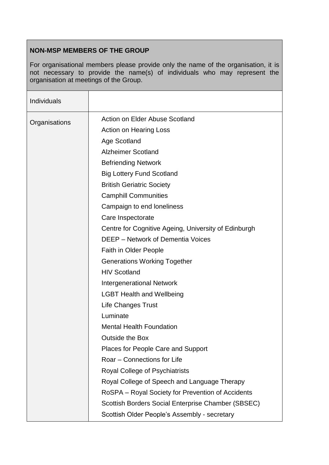# **NON-MSP MEMBERS OF THE GROUP**

For organisational members please provide only the name of the organisation, it is not necessary to provide the name(s) of individuals who may represent the organisation at meetings of the Group.

| Individuals   |                                                      |
|---------------|------------------------------------------------------|
| Organisations | Action on Elder Abuse Scotland                       |
|               | <b>Action on Hearing Loss</b>                        |
|               | Age Scotland                                         |
|               | <b>Alzheimer Scotland</b>                            |
|               | <b>Befriending Network</b>                           |
|               | <b>Big Lottery Fund Scotland</b>                     |
|               | <b>British Geriatric Society</b>                     |
|               | <b>Camphill Communities</b>                          |
|               | Campaign to end loneliness                           |
|               | Care Inspectorate                                    |
|               | Centre for Cognitive Ageing, University of Edinburgh |
|               | <b>DEEP</b> – Network of Dementia Voices             |
|               | <b>Faith in Older People</b>                         |
|               | <b>Generations Working Together</b>                  |
|               | <b>HIV Scotland</b>                                  |
|               | <b>Intergenerational Network</b>                     |
|               | <b>LGBT Health and Wellbeing</b>                     |
|               | <b>Life Changes Trust</b>                            |
|               | Luminate                                             |
|               | <b>Mental Health Foundation</b>                      |
|               | Outside the Box                                      |
|               | <b>Places for People Care and Support</b>            |
|               | Roar - Connections for Life                          |
|               | Royal College of Psychiatrists                       |
|               | Royal College of Speech and Language Therapy         |
|               | RoSPA – Royal Society for Prevention of Accidents    |
|               | Scottish Borders Social Enterprise Chamber (SBSEC)   |
|               | Scottish Older People's Assembly - secretary         |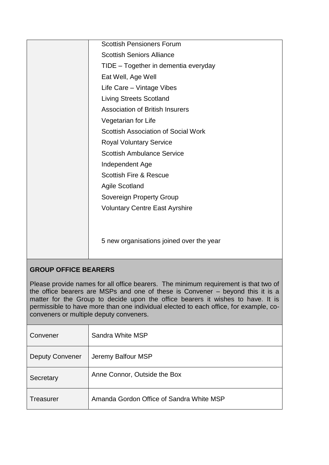| <b>Scottish Pensioners Forum</b>           |
|--------------------------------------------|
| <b>Scottish Seniors Alliance</b>           |
| TIDE - Together in dementia everyday       |
| Eat Well, Age Well                         |
| Life Care - Vintage Vibes                  |
| <b>Living Streets Scotland</b>             |
| <b>Association of British Insurers</b>     |
| Vegetarian for Life                        |
| <b>Scottish Association of Social Work</b> |
| <b>Royal Voluntary Service</b>             |
| <b>Scottish Ambulance Service</b>          |
| Independent Age                            |
| <b>Scottish Fire &amp; Rescue</b>          |
| <b>Agile Scotland</b>                      |
| Sovereign Property Group                   |
| <b>Voluntary Centre East Ayrshire</b>      |
|                                            |
|                                            |
| 5 new organisations joined over the year   |
|                                            |
|                                            |

# **GROUP OFFICE BEARERS**

Please provide names for all office bearers. The minimum requirement is that two of the office bearers are MSPs and one of these is Convener – beyond this it is a matter for the Group to decide upon the office bearers it wishes to have. It is permissible to have more than one individual elected to each office, for example, coconveners or multiple deputy conveners.

| Convener               | Sandra White MSP                         |
|------------------------|------------------------------------------|
| <b>Deputy Convener</b> | Jeremy Balfour MSP                       |
| Secretary              | Anne Connor, Outside the Box             |
| Treasurer              | Amanda Gordon Office of Sandra White MSP |